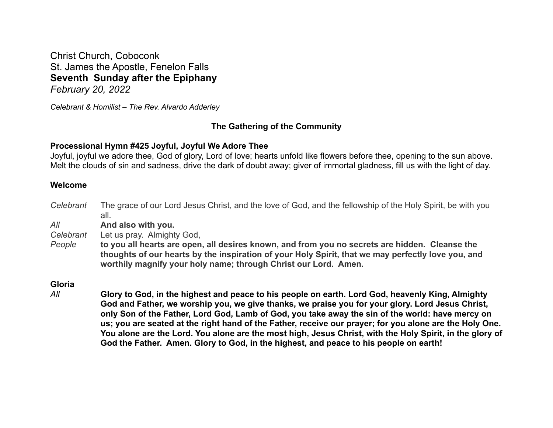Christ Church, Coboconk St. James the Apostle, Fenelon Falls **Seventh Sunday after the Epiphany** *February 20, 2022* 

*Celebrant & Homilist – The Rev. Alvardo Adderley* 

### **The Gathering of the Community**

#### **Processional Hymn #425 Joyful, Joyful We Adore Thee**

Joyful, joyful we adore thee, God of glory, Lord of love; hearts unfold like flowers before thee, opening to the sun above. Melt the clouds of sin and sadness, drive the dark of doubt away; giver of immortal gladness, fill us with the light of day.

#### **Welcome**

*Celebrant* The grace of our Lord Jesus Christ, and the love of God, and the fellowship of the Holy Spirit, be with you all.

*All* **And also with you.** 

*Celebrant* Let us pray. Almighty God,

*People* **to you all hearts are open, all desires known, and from you no secrets are hidden. Cleanse the thoughts of our hearts by the inspiration of your Holy Spirit, that we may perfectly love you, and worthily magnify your holy name; through Christ our Lord. Amen.**

**Gloria**

*All* **Glory to God, in the highest and peace to his people on earth. Lord God, heavenly King, Almighty God and Father, we worship you, we give thanks, we praise you for your glory. Lord Jesus Christ, only Son of the Father, Lord God, Lamb of God, you take away the sin of the world: have mercy on us; you are seated at the right hand of the Father, receive our prayer; for you alone are the Holy One. You alone are the Lord. You alone are the most high, Jesus Christ, with the Holy Spirit, in the glory of God the Father. Amen. Glory to God, in the highest, and peace to his people on earth!**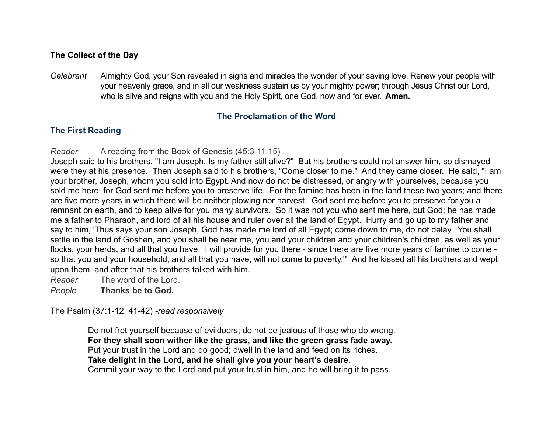### **The Collect of the Day**

*Celebrant* Almighty God, your Son revealed in signs and miracles the wonder of your saving love. Renew your people with your heavenly grace, and in all our weakness sustain us by your mighty power; through Jesus Christ our Lord, who is alive and reigns with you and the Holy Spirit, one God, now and for ever. **Amen.**

### **The Proclamation of the Word**

# **The First Reading**

*Reader* A reading from the Book of Genesis (45:3-11,15)

Joseph said to his brothers, "I am Joseph. Is my father still alive?" But his brothers could not answer him, so dismayed were they at his presence. Then Joseph said to his brothers, "Come closer to me." And they came closer. He said, "I am your brother, Joseph, whom you sold into Egypt. And now do not be distressed, or angry with yourselves, because you sold me here; for God sent me before you to preserve life. For the famine has been in the land these two years; and there are five more years in which there will be neither plowing nor harvest. God sent me before you to preserve for you a remnant on earth, and to keep alive for you many survivors. So it was not you who sent me here, but God; he has made me a father to Pharaoh, and lord of all his house and ruler over all the land of Egypt. Hurry and go up to my father and say to him, 'Thus says your son Joseph, God has made me lord of all Egypt; come down to me, do not delay. You shall settle in the land of Goshen, and you shall be near me, you and your children and your children's children, as well as your flocks, your herds, and all that you have. I will provide for you there - since there are five more years of famine to come so that you and your household, and all that you have, will not come to poverty.'" And he kissed all his brothers and wept upon them; and after that his brothers talked with him.

*Reader* The word of the Lord.

*People* **Thanks be to God.**

The Psalm (37:1-12, 41-42) *-read responsively*

Do not fret yourself because of evildoers; do not be jealous of those who do wrong. **For they shall soon wither like the grass, and like the green grass fade away.** Put your trust in the Lord and do good; dwell in the land and feed on its riches. **Take delight in the Lord, and he shall give you your heart's desire**. Commit your way to the Lord and put your trust in him, and he will bring it to pass.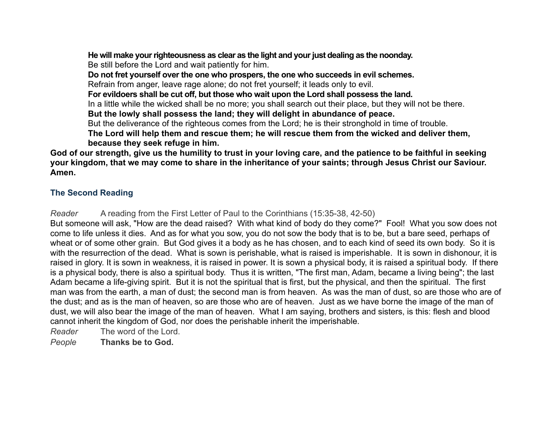**He will make your righteousness as clear as the light and your just dealing as the noonday.** Be still before the Lord and wait patiently for him.

**Do not fret yourself over the one who prospers, the one who succeeds in evil schemes.** Refrain from anger, leave rage alone; do not fret yourself; it leads only to evil. **For evildoers shall be cut off, but those who wait upon the Lord shall possess the land.** In a little while the wicked shall be no more; you shall search out their place, but they will not be there. **But the lowly shall possess the land; they will delight in abundance of peace.** But the deliverance of the righteous comes from the Lord; he is their stronghold in time of trouble. **The Lord will help them and rescue them; he will rescue them from the wicked and deliver them, because they seek refuge in him.** 

**God of our strength, give us the humility to trust in your loving care, and the patience to be faithful in seeking your kingdom, that we may come to share in the inheritance of your saints; through Jesus Christ our Saviour. Amen.** 

### **The Second Reading**

*Reader* A reading from the First Letter of Paul to the Corinthians (15:35-38, 42-50)

But someone will ask, "How are the dead raised? With what kind of body do they come?" Fool! What you sow does not come to life unless it dies. And as for what you sow, you do not sow the body that is to be, but a bare seed, perhaps of wheat or of some other grain. But God gives it a body as he has chosen, and to each kind of seed its own body. So it is with the resurrection of the dead. What is sown is perishable, what is raised is imperishable. It is sown in dishonour, it is raised in glory. It is sown in weakness, it is raised in power. It is sown a physical body, it is raised a spiritual body. If there is a physical body, there is also a spiritual body. Thus it is written, "The first man, Adam, became a living being"; the last Adam became a life-giving spirit. But it is not the spiritual that is first, but the physical, and then the spiritual. The first man was from the earth, a man of dust; the second man is from heaven. As was the man of dust, so are those who are of the dust; and as is the man of heaven, so are those who are of heaven. Just as we have borne the image of the man of dust, we will also bear the image of the man of heaven. What I am saying, brothers and sisters, is this: flesh and blood cannot inherit the kingdom of God, nor does the perishable inherit the imperishable.

*Reader* The word of the Lord.

*People* **Thanks be to God.**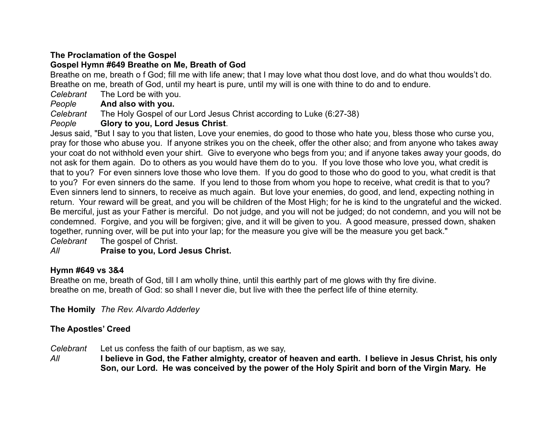# **The Proclamation of the Gospel**

# **Gospel Hymn #649 Breathe on Me, Breath of God**

Breathe on me, breath o f God; fill me with life anew; that I may love what thou dost love, and do what thou woulds't do. Breathe on me, breath of God, until my heart is pure, until my will is one with thine to do and to endure.

*Celebrant* The Lord be with you.

# *People* **And also with you.**

*Celebrant* The Holy Gospel of our Lord Jesus Christ according to Luke (6:27-38)

# *People* **Glory to you, Lord Jesus Christ**.

Jesus said, "But I say to you that listen, Love your enemies, do good to those who hate you, bless those who curse you, pray for those who abuse you. If anyone strikes you on the cheek, offer the other also; and from anyone who takes away your coat do not withhold even your shirt. Give to everyone who begs from you; and if anyone takes away your goods, do not ask for them again. Do to others as you would have them do to you. If you love those who love you, what credit is that to you? For even sinners love those who love them. If you do good to those who do good to you, what credit is that to you? For even sinners do the same. If you lend to those from whom you hope to receive, what credit is that to you? Even sinners lend to sinners, to receive as much again. But love your enemies, do good, and lend, expecting nothing in return. Your reward will be great, and you will be children of the Most High; for he is kind to the ungrateful and the wicked. Be merciful, just as your Father is merciful. Do not judge, and you will not be judged; do not condemn, and you will not be condemned. Forgive, and you will be forgiven; give, and it will be given to you. A good measure, pressed down, shaken together, running over, will be put into your lap; for the measure you give will be the measure you get back."

*Celebrant* The gospel of Christ.

*All* **Praise to you, Lord Jesus Christ.** 

# **Hymn #649 vs 3&4**

Breathe on me, breath of God, till I am wholly thine, until this earthly part of me glows with thy fire divine. breathe on me, breath of God: so shall I never die, but live with thee the perfect life of thine eternity.

**The Homily** *The Rev. Alvardo Adderley* 

# **The Apostles' Creed**

*Celebrant* Let us confess the faith of our baptism, as we say,

*All* **I believe in God, the Father almighty, creator of heaven and earth. I believe in Jesus Christ, his only Son, our Lord. He was conceived by the power of the Holy Spirit and born of the Virgin Mary. He**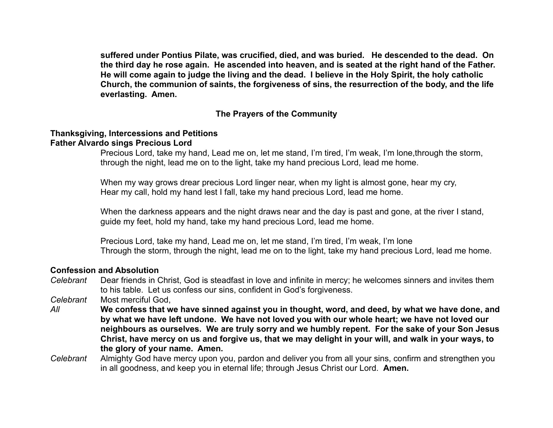**suffered under Pontius Pilate, was crucified, died, and was buried. He descended to the dead. On the third day he rose again. He ascended into heaven, and is seated at the right hand of the Father. He will come again to judge the living and the dead. I believe in the Holy Spirit, the holy catholic Church, the communion of saints, the forgiveness of sins, the resurrection of the body, and the life everlasting. Amen.** 

### **The Prayers of the Community**

#### **Thanksgiving, Intercessions and Petitions Father Alvardo sings Precious Lord**

Precious Lord, take my hand, Lead me on, let me stand, I'm tired, I'm weak, I'm lone,through the storm, through the night, lead me on to the light, take my hand precious Lord, lead me home.

When my way grows drear precious Lord linger near, when my light is almost gone, hear my cry, Hear my call, hold my hand lest I fall, take my hand precious Lord, lead me home.

When the darkness appears and the night draws near and the day is past and gone, at the river I stand, guide my feet, hold my hand, take my hand precious Lord, lead me home.

Precious Lord, take my hand, Lead me on, let me stand, I'm tired, I'm weak, I'm lone Through the storm, through the night, lead me on to the light, take my hand precious Lord, lead me home.

#### **Confession and Absolution**

- *Celebrant* Dear friends in Christ, God is steadfast in love and infinite in mercy; he welcomes sinners and invites them to his table. Let us confess our sins, confident in God's forgiveness.
- *Celebrant* Most merciful God,
- *All* **We confess that we have sinned against you in thought, word, and deed, by what we have done, and by what we have left undone. We have not loved you with our whole heart; we have not loved our neighbours as ourselves. We are truly sorry and we humbly repent. For the sake of your Son Jesus Christ, have mercy on us and forgive us, that we may delight in your will, and walk in your ways, to the glory of your name. Amen.**
- *Celebrant* Almighty God have mercy upon you, pardon and deliver you from all your sins, confirm and strengthen you in all goodness, and keep you in eternal life; through Jesus Christ our Lord. **Amen.**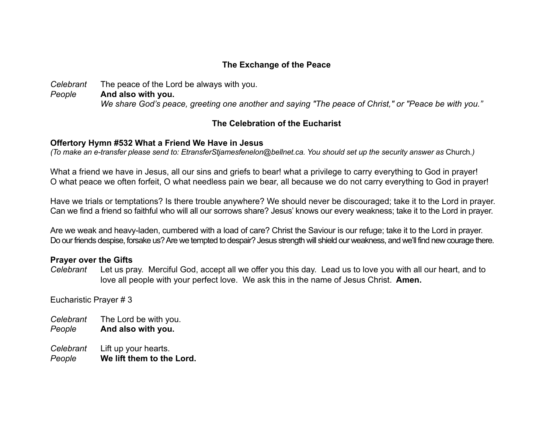# **The Exchange of the Peace**

*Celebrant* The peace of the Lord be always with you.

*People* **And also with you.**  *We share God's peace, greeting one another and saying "The peace of Christ," or "Peace be with you."* 

# **The Celebration of the Eucharist**

#### **Offertory Hymn #532 What a Friend We Have in Jesus**

*(To make an e-transfer please send to: EtransferStjamesfenelon@bellnet.ca. You should set up the security answer as* Church*.)*

What a friend we have in Jesus, all our sins and griefs to bear! what a privilege to carry everything to God in prayer! O what peace we often forfeit, O what needless pain we bear, all because we do not carry everything to God in prayer!

Have we trials or temptations? Is there trouble anywhere? We should never be discouraged; take it to the Lord in prayer. Can we find a friend so faithful who will all our sorrows share? Jesus' knows our every weakness; take it to the Lord in prayer.

Are we weak and heavy-laden, cumbered with a load of care? Christ the Saviour is our refuge; take it to the Lord in prayer. Do our friends despise, forsake us? Are we tempted to despair? Jesus strength will shield our weakness, and we'll find new courage there.

#### **Prayer over the Gifts**

*Celebrant* Let us pray. Merciful God, accept all we offer you this day. Lead us to love you with all our heart, and to love all people with your perfect love. We ask this in the name of Jesus Christ. **Amen.**

Eucharistic Prayer # 3

- *Celebrant* The Lord be with you. *People* **And also with you.**
- *Celebrant* Lift up your hearts. *People* **We lift them to the Lord.**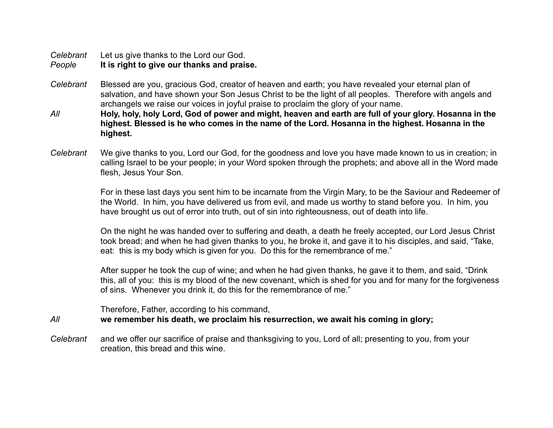*Celebrant* Let us give thanks to the Lord our God. *People* **It is right to give our thanks and praise.** 

- *Celebrant* Blessed are you, gracious God, creator of heaven and earth; you have revealed your eternal plan of salvation, and have shown your Son Jesus Christ to be the light of all peoples. Therefore with angels and archangels we raise our voices in joyful praise to proclaim the glory of your name.
- *All* **Holy, holy, holy Lord, God of power and might, heaven and earth are full of your glory. Hosanna in the highest. Blessed is he who comes in the name of the Lord. Hosanna in the highest. Hosanna in the highest.**
- *Celebrant* We give thanks to you, Lord our God, for the goodness and love you have made known to us in creation; in calling Israel to be your people; in your Word spoken through the prophets; and above all in the Word made flesh, Jesus Your Son.

For in these last days you sent him to be incarnate from the Virgin Mary, to be the Saviour and Redeemer of the World. In him, you have delivered us from evil, and made us worthy to stand before you. In him, you have brought us out of error into truth, out of sin into righteousness, out of death into life.

On the night he was handed over to suffering and death, a death he freely accepted, our Lord Jesus Christ took bread; and when he had given thanks to you, he broke it, and gave it to his disciples, and said, "Take, eat: this is my body which is given for you. Do this for the remembrance of me."

After supper he took the cup of wine; and when he had given thanks, he gave it to them, and said, "Drink this, all of you: this is my blood of the new covenant, which is shed for you and for many for the forgiveness of sins. Whenever you drink it, do this for the remembrance of me."

Therefore, Father, according to his command,

*All* **we remember his death, we proclaim his resurrection, we await his coming in glory;** 

*Celebrant* and we offer our sacrifice of praise and thanksgiving to you, Lord of all; presenting to you, from your creation, this bread and this wine.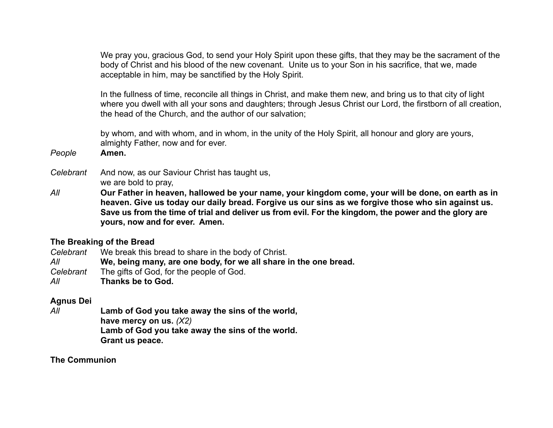We pray you, gracious God, to send your Holy Spirit upon these gifts, that they may be the sacrament of the body of Christ and his blood of the new covenant. Unite us to your Son in his sacrifice, that we, made acceptable in him, may be sanctified by the Holy Spirit.

In the fullness of time, reconcile all things in Christ, and make them new, and bring us to that city of light where you dwell with all your sons and daughters; through Jesus Christ our Lord, the firstborn of all creation, the head of the Church, and the author of our salvation;

by whom, and with whom, and in whom, in the unity of the Holy Spirit, all honour and glory are yours, almighty Father, now and for ever.

*People* **Amen.**

*Celebrant* And now, as our Saviour Christ has taught us, we are bold to pray,

*All* **Our Father in heaven, hallowed be your name, your kingdom come, your will be done, on earth as in heaven. Give us today our daily bread. Forgive us our sins as we forgive those who sin against us. Save us from the time of trial and deliver us from evil. For the kingdom, the power and the glory are yours, now and for ever. Amen.**

### **The Breaking of the Bread**

- *Celebrant* We break this bread to share in the body of Christ.
- *All* **We, being many, are one body, for we all share in the one bread.**
- *Celebrant* The gifts of God, for the people of God.
- *All* **Thanks be to God.**

# **Agnus Dei**

*All* **Lamb of God you take away the sins of the world,**  **have mercy on us.** *(X2)* **Lamb of God you take away the sins of the world. Grant us peace.** 

# **The Communion**